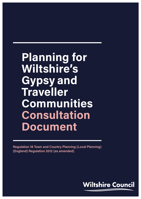# **Planning for Wiltshire's Gypsy and Traveller Communities Consultation Document**

**Regulation 18 Town and Country Planning (Local Planning) (England) Regulation 2012 (as amended)** 

Gypsies and Travellers Development Plan Document Regulation 18 Consultation **1**

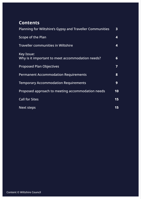### **Contents**

| <b>Planning for Wiltshire's Gypsy and Traveller Communities</b>       | 3 <sup>1</sup> |
|-----------------------------------------------------------------------|----------------|
| <b>Scope of the Plan</b>                                              | 4              |
| <b>Traveller communities in Wiltshire</b>                             | 4              |
| <b>Key Issue:</b><br>Why is it important to meet accommodation needs? | 6              |
| <b>Proposed Plan Objectives</b>                                       | $\overline{7}$ |
| <b>Permanent Accommodation Requirements</b>                           | 8              |
| <b>Temporary Accommodation Requirements</b>                           | 9              |
| Proposed approach to meeting accommodation needs                      | 10             |
| <b>Call for Sites</b>                                                 | 15             |
| <b>Next steps</b>                                                     | 15             |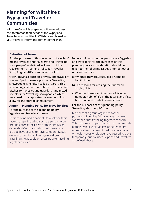### <span id="page-2-0"></span>**Planning for Wiltshire's Gypsy and Traveller Communities**

Wiltshire Council is preparing a Plan to address the accommodation needs of the Gypsy and Traveller communities in Wiltshire and is seeking your views to inform the content of the Plan.

#### **Definition of terms:**

For the purposes of this document: "travellers" means "gypsies and travellers" and "travelling showpeople" as defined in Annex 1 of the Government's Planning Policy for Traveller Sites, August 2015, summarised below.

"Pitch" means a pitch on a "gypsy and traveller" site and "plot" means a pitch on a "travelling showpeople" site (often called a "yard"). This terminology differentiates between residential pitches for "gypsies and travellers" and mixeduse plots for "travelling showpeople", which may need to incorporate space to be split to allow for the storage of equipment.

#### **Annex 1, Planning Policy for Traveller Sites**

For the purpose of this planning policy "gypsies and travellers" means:

Persons of nomadic habit of life whatever their race or origin, including such persons who on grounds only of their own or their family's or dependants' educational or health needs or old age have ceased to travel temporarily, but excluding members of an organised group of travelling showpeople or circus people travelling together as such.

In determining whether persons are "gypsies and travellers" for the purposes of this planning policy, consideration should be given to the following issues amongst other relevant matters:

- **a)** Whether they previously led a nomadic habit of life.
- **b)** The reasons for ceasing their nomadic habit of life.
- **c)** Whether there is an intention of living a nomadic habit of life in the future, and if so, how soon and in what circumstances.

#### For the purposes of this planning policy, "travelling showpeople" means:

Members of a group organised for the purposes of holding fairs, circuses or shows (whether or not travelling together as such). This includes such persons who on the grounds of their own or their family's or dependants' more localised pattern of trading, educational or health needs or old age have ceased to travel temporarily, but excludes Gypsies and Travellers as defined above.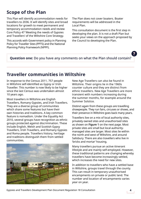### <span id="page-3-0"></span>**Scope of the Plan**

This Plan will identify accommodation needs for travellers to 2036. It will identify sites and broad locations for growth to meet permanent and temporary accommodation needs and review Core Policy 47 'Meeting the needs of Gypsies and Travellers' of the Wiltshire Core Strategy.

This accords with Government policy in Planning Policy for Traveller Sites (PPTS) and the National Planning Policy Framework (NPPF).

The Plan does not cover boaters. Boater requirements will be addressed in the Local Plan.

This consultation document is the first step in developing the plan. It is not a draft Plan but seeks your views on the approach proposed by the Council to developing the Plan.

### **Question one:** Do you have any comments on what the Plan should contain?

### **Traveller communities in Wiltshire**

In response to the Census 2011, 757 people in Wiltshire self-identified as Gypsy or Irish Traveller. This number is now likely to be higher since the last Census was undertaken almost 10 years ago.

Most travellers in Wiltshire are English Travellers, Romany Gypsies, and Irish Travellers. They are a diverse group of communities which share some features but have their own histories and traditions. A key common feature is nomadism. Under the Equality Act 2010, several groups have recognition as ethnic groups protected against discrimination. These include English, Welsh and Scottish Gypsy Travellers, Irish Travellers, and Romany Gypsies and Roma people. Travellers history, heritage and traditions distinguish them from settled communities.



New Age Travellers can also be found in Wiltshire. Their origins lie in the 1960s counter culture and they are distinct from ethnic travellers. New Age Travellers are more transient with numbers increasing during the summer months, for example around the Summer Solstice.

Distinct again from these groups are travelling showpeople. They run fairs, circuses or shows, and their presence in Wiltshire goes back many years.

Travellers live on a mix of local authority sites, privately owned sites and unauthorised sites as shown on **Figure 1** on the next page. Most private sites are small but local authoritymanaged sites are larger. Most sites lie within the north and west of Wiltshire, and around Salisbury. There are also travellers who live in 'bricks and mortar' housing.

Many travellers pursue an active itinerant lifestyle and are mainly self-employed. However, these traditional patterns are changing whereby travellers have become increasingly settled, which increases the need for new sites.

In addition to travellers who have a settled base in Wiltshire, groups travel through the county. This can result in temporary unauthorised encampments on private or public land. The number and location of encampments varies year on year.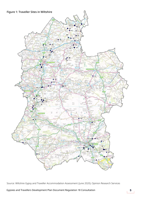

Source: Wiltshire Gypsy and Traveller Accommodation Assessment (June 2020), Opinion Research Services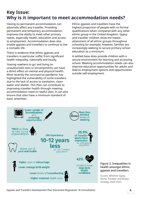### <span id="page-5-0"></span>**Key Issue: Why is it important to meet accommodation needs?**

Having no permanent accommodation can adversely affect any traveller. Providing permanent and temporary accommodation improves the ability to meet other primary needs, especially health, education and access to employment. Accommodation does also enable gypsies and travellers to continue to live a nomadic life.

There is evidence that ethnic gypsies and travellers in particular suffer from significant health inequality, nationally and locally.

'Having nowhere to go' and living on unauthorised sites or encampments can have a direct effect on mental and physical health. Most recently the coronavirus pandemic has highlighted the vulnerability of some travellers due to the lack of access to sanitation, clean water and shelter. This Plan can contribute to improving traveller health through meeting accommodation need on lawful sites. It can also ensure that sites have a minimum standard of basic amenities.

Ethnic gypsies and travellers have the highest proportion of people with no formal qualifications when compared with any other ethnic group in the United Kingdom. Gypsy and traveller children show the lowest attainment of all ethnic groups throughout schooling for example; however, families are increasingly seeking to secure primary school education as a minimum.

A settled base does provide children with a secure environment for learning and accessing school. Meeting accommodation needs can also improve education opportunities for adults and lead to employment options and opportunities outside self-employment.



Figure 2: Inequalities in health amongst ethnic gypsies and travellers

Source: Wiltshire Gypsy, Roma, Traveller and Boater Strategy 2020-2025

Gypsies and Travellers Development Plan Document Regulation 18 Consultation **6**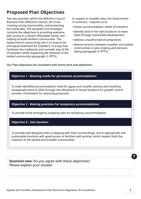### <span id="page-6-0"></span>**Proposed Plan Objectives**

Two key priorities within the Wiltshire Council Business Plan (Wiltshire Council, 2017) are creating strong communities, and protecting the vulnerable. The adopted Core Strategy's contains the objectives to providing everyone with access to a decent affordable home; and helping to build resilient communities. The Government's overarching aim is to ensure fair and equal treatment for travellers, in a way that facilitates the traditional and nomadic way of life of travellers while respecting the interests of the settled community (paragraph 3, PPTS).

In respect to traveller sites, the Government in summary - requires us to

- Assess accommodation needs of travellers
- Identify land in the right locations to meet need through sustainable development
- Address unauthorised encampments
- Reduce tensions between traveller and settled communities in plan-making and decisiontaking (paragraph 4, PPTS).

Our Plan objectives are consistent with these aims and objectives:

#### **Objective 1 - Meeting needs for permanent accommodation:**

To meet identified accommodation need for gypsy and traveller pitches and travelling showpeople plots to 2036 through site allocations or broad locations for growth; and to provide a framework for assessing proposals.

#### **Objective 2 - Making provision for temporary accommodation:**

To provide three emergency stopping sites for temporary accommodation.

#### **Objective 3 – Site location:**

To provide well-designed sites in keeping with their surroundings, and in appropriate and sustainable locations with good access to facilities and services; which respect both the interests of the settled and traveller communities.

**Question two:** Do you agree with these objectives? Please explain your answer.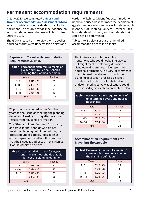### <span id="page-7-0"></span>**Permanent accommodation requirements**

In June 2020, we completed a **[Gypsy and](https://www.wiltshire.gov.uk/planning-gypsy-travellers)  [Traveller Accommodation Assessment \(GTAA\)](https://www.wiltshire.gov.uk/planning-gypsy-travellers)** which is published alongside this consultation document. This study provides the evidence on accommodation need that we will plan for from

The GTAA is based on interviews with traveller households that were undertaken on sites and

2019 to 2036.

yards in Wiltshire. It identifies accommodation need for households that meet the definition of gypsies and travellers and travelling showpeople in Annex 1 of Planning Policy for Traveller Sites; households who do not; and households that could not be determined.

Tables 1 to 5 below set out the identified accommodation needs in Wiltshire.

#### **Gypsies and Traveller Accommodation Requirements 2019-36**

| <b>Table 1: Permanent pitch requirements of</b><br>gypsy and traveller households<br>meeting the planning definition |             |                |
|----------------------------------------------------------------------------------------------------------------------|-------------|----------------|
| Years                                                                                                                |             | <b>Pitches</b> |
| $0 - 5$                                                                                                              | $2019 - 23$ | 76             |
| $6 - 10$                                                                                                             | $2024 - 28$ | 22             |
| $11 - 15$                                                                                                            | $2029 - 33$ | 21             |
| $16 - 18$                                                                                                            | 2034 - 36   | 13             |
| Total                                                                                                                |             | 132            |

76 pitches are required in the first five years for households meeting the planning definition. Need occurring after year five results from household formation.

The GTAA also identifies need from gypsy and traveller households who do not meet the planning definition but may be protected under equality legislation as ethnic gypsies or travellers. It is proposed that their need is addressed in this Plan as it would otherwise persist.

| <b>Table 2: Accommodation need for Gypsy</b><br>and Traveller households that did<br>not meet the planning definition |             |                |
|-----------------------------------------------------------------------------------------------------------------------|-------------|----------------|
| Years                                                                                                                 |             | <b>Pitches</b> |
| $0 - 5$                                                                                                               | $2019 - 23$ | 21             |
| $6 - 10$                                                                                                              | $2024 - 28$ | 23             |
| $11 - 15$                                                                                                             | $2029 - 33$ | 26             |
| $16 - 18$                                                                                                             | $2034 - 36$ | 8              |
| Total                                                                                                                 |             | 78             |

The GTAA also identifies need from households who could not be interviewed but might meet the planning definition. Need occurring after year five results from household formation. The GTAA recommends that this need is addressed through the planning application process as it is not possible for the Plan to allocate land for undetermined need. Any applications could be assessed against criteria presented below.

#### **Table 3:** Permanent pitch requirements of undetermined gypsy and traveller households

| Years        |             | <b>Pitches</b> |
|--------------|-------------|----------------|
| $0 - 5$      | $2019 - 23$ | 14             |
| $6 - 10$     | $2024 - 28$ | 6              |
| $11 - 15$    | $2029 - 33$ | 6              |
| $16 - 18$    | $2034 - 36$ | з              |
| <b>Total</b> |             | 29             |

#### **Accommodation Requirements for Travelling Showpeople**

| <b>Table 4: Permanent plot requirements of</b><br>showpeople households meeting<br>the planning definition |             |                |
|------------------------------------------------------------------------------------------------------------|-------------|----------------|
| Years                                                                                                      |             | <b>Pitches</b> |
| $0 - 5$                                                                                                    | $2019 - 23$ | 10             |
| $6 - 10$                                                                                                   | $2024 - 28$ |                |
| $11 - 15$                                                                                                  | $2029 - 33$ |                |
| $16 - 18$                                                                                                  | $2034 - 36$ |                |
| Total                                                                                                      |             | 12             |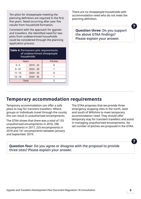<span id="page-8-0"></span>Ten plots for showpeople meeting the planning definition are required in the first five years. Need occurring after year five results from household formation.

Consistent with the approach for gypsies and travellers, the identified need for two plots from undetermined households could be considered through the planning application process.

| <b>Table 4: Permanent plot requirements</b><br>of undetermined showpeople<br>households |             |                |
|-----------------------------------------------------------------------------------------|-------------|----------------|
| Years                                                                                   |             | <b>Pitches</b> |
| $0 - 5$                                                                                 | $2019 - 23$ |                |
| $6 - 10$                                                                                | $2024 - 28$ |                |
| $11 - 15$                                                                               | $2029 - 33$ | ŋ              |
| $16 - 18$                                                                               | $2034 - 36$ |                |
| Total                                                                                   |             | っ              |

There are no showpeople households with accommodation need who do not meet the planning definition.

**Question three:** Do you support the above GTAA findings? Please explain your answer.

**?** 

### **Temporary accommodation requirements**

Temporary accommodation can offer a safe place to stay for transient travellers. Where groups or individuals travel through the county this can result in unauthorised encampments.

The GTAA shows that there was a total of 155 unauthorised encampments in 2016, 296 encampments in 2017, 225 encampments in 2018 and 161 encampments between January and September 2019.

The GTAA proposes that we provide three emergency stopping sites in the north, west and south of Wiltshire to meet temporary accommodation need. They should offer temporary stay for transient travellers and assist in managing unauthorised encampments. No set number of pitches are proposed in the GTAA.

**Question four:** Do you agree or disagree with the proposal to provide three sites? Please explain your answer.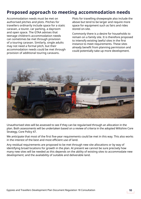### <span id="page-9-0"></span>**Proposed approach to meeting accommodation needs**

Accommodation needs must be met on authorised pitches and plots. Pitches for travellers ordinarily include space for a static caravan, a tourer, car parking, a dayroom and open space. The GTAA advises that teenage children's accommodation needs can sometimes be met through provision of a touring caravan. Similarly, single adults may not need a formal pitch, but their accommodation needs could be met through provision of additional touring caravans.

Plots for travelling showpeople also include the above but tend to be larger and require more space for equipment such as fairs and rides stored on-site.

Commonly there is a desire for households to remain on a family site. It is therefore proposed to intensify existing lawful sites in the first instance to meet requirements. These sites already benefit from planning permission and could potentially take up more development.



Unauthorised sites will be assessed to see if they can be regularised through an allocation in the plan. Both assessments will be undertaken based on a review of criteria in the adopted Wiltshire Core Strategy, Core Policy 47.

We anticipate that most of the first five-year requirements could be met in this way. This also works in the interest of the best and most efficient use of land.

Any residual requirements are proposed to be met through new site allocations or by way of identifying broad locations for growth in the plan. At present we cannot be sure precisely how many new sites will be needed as this depends on the ability of existing sites to accommodate new development; and the availability of suitable and deliverable land.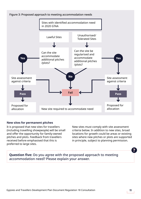

#### **New sites for permanent pitches**

It is proposed that new sites for travellers (including travelling showpeople) will be small and offer the opportunity for family-owned pitches and plots. Feedback from travellers received before emphasised that this is preferred to large sites.

New sites must comply with site assessment criteria below. In addition to new sites, broad locations for growth could be areas or existing sites where new pitches or plots are supported in principle, subject to planning permission.

**Question five:** Do you agree with the proposed approach to meeting accommodation need? Please explain your answer.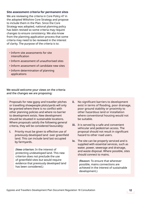#### **Site assessment criteria for permanent sites**

We are reviewing the criteria in Core Policy 47 in the adopted Wiltshire Core Strategy and propose to include them in the Plan. Since the Core Strategy was adopted, national planning policy has been revised so some criteria may require changes to ensure consistency. We also know from the planning application process that some criteria may need to be reviewed in the interest of clarity. The purpose of the criteria is to:

- Inform site assessments for site intensification
- Inform assessment of unauthorised sites
- Inform assessment of candidate new sites
- Inform determination of planning applications

We would welcome your views on the criteria and the changes we are proposing:

Proposals for new gypsy and traveller pitches or travelling showpeople plots/yards will only be granted where there is no conflict with other planning policies and where no barrier to development exists. New development should be situated in sustainable locations. Where proposals satisfy the following general criteria, they will be considered favourably:

**i.** Priority must be given to effective use of previously developed land over greenfield land. This can include land last occupied by farmyards.

> (New criterion: In the interest of protecting undeveloped land. This new criterion does not preclude the use of greenfield sites but would require evidence that previously developed land has been considered.)

- **ii.** No significant barriers to development exist in terms of flooding, poor drainage, poor ground stability or proximity to other hazardous land or installation where conventional housing would not be suitable.
- **iii.** It is served by a safe and convenient vehicular and pedestrian access. The proposal should not result in significant hazard to other road users.
- **iv.** The site can be properly serviced and is supplied with essential services, such as water, power, sewerage and drainage, and waste disposal. Where possible, sites should connect to mains.

(Reason: To ensure that wherever possible, mains connections are achieved in the interest of sustainable development.)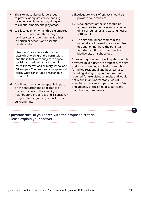- **v.** The site must also be large enough to provide adequate vehicle parking, including circulation space, along with residential amenity and play areas.
- **vi.** It is located in, or within three kilometres to, settlements that offer a range of local services and community facilities, in particular schools and essential health services.

(Reason: Our evidence shows that sites which were granted permission, and those that were subject to appeal decisions, predominantly fall within three kilometres of a primary school and GP surgery. The proposed change would clarify what constitutes a reasonable distance.)

**vii.** It will not have an unacceptable impact on the character and appearance of the landscape and the amenity of neighbouring properties and is sensitively designed to mitigate any impact on its surroundings.

- **viii.** Adequate levels of privacy should be provided for occupiers.
- **ix.** Development of the site should be appropriate to the scale and character of its surroundings and existing nearby settlements.
- **x.** The site should not compromise a nationally or internationally recognised designation nor have the potential for adverse effects on river quality, biodiversity or archaeology.

In assessing sites for travelling showpeople or where mixed-uses are proposed, the site and its surrounding context are suitable for mixed residential and business uses, including storage required and/or land required for exercising animals, and would not result in an unacceptable loss of amenity and adverse impact on the safety and amenity of the site's occupants and neighbouring properties.

**Question six:** Do you agree with the proposed criteria? Please explain your answer.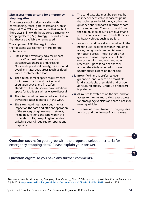#### **Site assessment criteria for emergency stopping sites**

Emergency stopping sites are sites with hardstanding, fence, gate, toilets and rubbish disposal. The GTAA recommends that we build three sites in line with the approved Emergency Stopping Places (ESP) Strategy<sup>1</sup>. This will ensure that they are available when needed.

The approved ESP Strategy includes the following assessment criteria to find suitable sites:

- **i.** Sites should avoid any adverse impact on local/national designations (such as conservation areas and Areas of Outstanding Natural Beauty). Sites should avoid any hazardous areas (such as flood zones, contaminated land).
- **ii.** The site must meet space requirements for internal road(s) and parking and circulation space, and fire safety standards. The site should have additional space for facilities such as waste disposal
- **iii.** The site should be near or adjacent to key travelling routes identified in the GTAA.
- **iv.** The site should not have a detrimental impact on the safe and efficient operation of the strategic/highway road network, including junctions and land within the ownership of Highways England and/or Wiltshire Council required for operational purposes.
- **v.** The candidate site must be serviced by an independent vehicular access point that adheres to the Highway Authority's guidance and standards in terms of safe entry and egress. The road to and from the site must be of sufficient quality and size to enable access onto and off the site by heavy vehicles such as trailers.
- **vi.** Access to candidate sites should avoid the need to use local roads within industrial areas, recognised commercial areas or housing areas. The site should not give rise to visual impacts or pollution on surrounding land uses and other receptors. Space for a clear barrier around the site is required to prevent unauthorised extension to the site.
- **vii.** Brownfield land is preferred over greenfield land. Where no brownfield land is available, greenfield land of poor agricultural quality (Grade 3b or poorer) is preferred.
- **viii.** All routes for vehicles on the site, and for access to the site, must allow easy access for emergency vehicles and safe places for turning vehicles.
- **ix.** The ease of commitment to bringing sites forward and the timing of land release.

**Question seven:** Do you agree with the proposed selection criteria for emergency stopping sites? Please explain your answer.

### **Question eight:** Do you have any further comments?

<sup>1</sup> Gypsy and Travellers Emergency Stopping Places Strategy (June 2018), approved by Wiltshire Council Cabinet on 3 July 2018 **<https://cms.wiltshire.gov.uk/ieListDocuments.aspx?CId=141&MId=11668>** , see item 255

**?**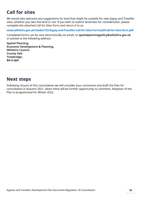### <span id="page-14-0"></span>**Call for sites**

We would also welcome any suggestions for land that might be suitable for new Gypsy and Traveller sites, whether you own the land or not. If you wish to submit land/sites for consideration, please complete the attached Call for Sites Form and return it to us.

**[www.wiltshire.gov.uk/media/722/Gypsy-and-Traveller-Call-for-Sites-Form/pdf/call-for-sites-form.pdf](https://www.wiltshire.gov.uk/media/722/Gypsy-and-Traveller-Call-for-Sites-Form/pdf/call-for-sites-form.pdf  )** 

Completed forms can be sent electronically via email, to **spatialplanningpolicy@wiltshire.gov.uk**  or posted to the following address:

**Spatial Planning, Economic Development & Planning, Wiltshire Council, County Hall, Trowbridge, BA14 8JN**

### **Next steps**

Following closure of this consultation we will consider your comments and draft the Plan for consultation in Autumn 2021, when there will be further opportunity to comment. Adoption of the Plan is programmed for Winter 2022.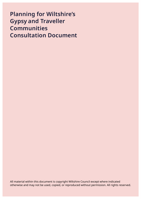## **Planning for Wiltshire's Gypsy and Traveller Communities Consultation Document**

All material within this document is copyright Wiltshire Council except where indicated otherwise and may not be used, copied, or reproduced without permission. All rights reserved.